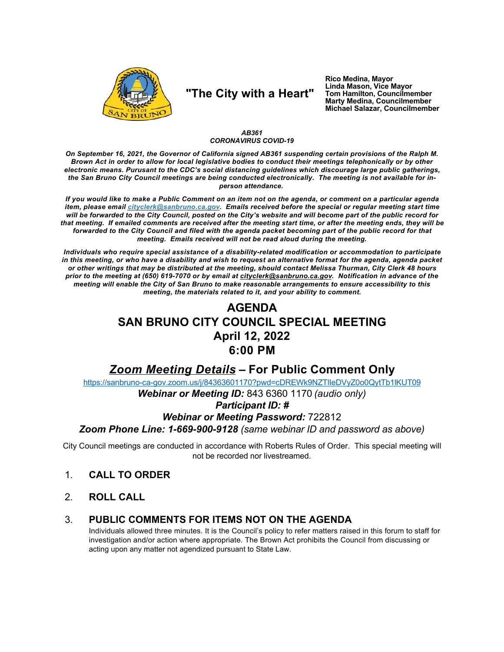

# "The City with a Heart"

Rico Medina, Mayor Linda Mason, Vice Mayor Tom Hamilton, Councilmember **Marty Medina, Councilmember** Michael Salazar, Councilmember

### AB361 **CORONAVIRUS COVID-19**

On September 16, 2021, the Governor of California signed AB361 suspending certain provisions of the Ralph M. Brown Act in order to allow for local legislative bodies to conduct their meetings telephonically or by other electronic means. Purusant to the CDC's social distancing guidelines which discourage large public gatherings, the San Bruno City Council meetings are being conducted electronically. The meeting is not available for inperson attendance.

If you would like to make a Public Comment on an item not on the agenda, or comment on a particular agenda item, please email cityclerk@sanbruno.ca.gov. Emails received before the special or regular meeting start time will be forwarded to the City Council, posted on the City's website and will become part of the public record for that meeting. If emailed comments are received after the meeting start time, or after the meeting ends, they will be forwarded to the City Council and filed with the agenda packet becoming part of the public record for that meeting. Emails received will not be read aloud during the meeting.

Individuals who require special assistance of a disability-related modification or accommodation to participate in this meeting, or who have a disability and wish to request an alternative format for the agenda, agenda packet or other writings that may be distributed at the meeting, should contact Melissa Thurman, City Clerk 48 hours prior to the meeting at (650) 619-7070 or by email at cityclerk@sanbruno.ca.gov. Notification in advance of the meeting will enable the City of San Bruno to make reasonable arrangements to ensure accessibility to this meeting, the materials related to it, and your ability to comment.

## **AGENDA SAN BRUNO CITY COUNCIL SPECIAL MEETING** April 12, 2022  $6:00$  PM

## **Zoom Meeting Details - For Public Comment Only**

https://sanbruno-ca-gov.zoom.us/j/84363601170?pwd=cDREWk9NZTIleDVyZ0o0QytTb1lKUT09

Webinar or Meeting ID: 843 6360 1170 (audio only)

## **Participant ID: #**

### **Webinar or Meeting Password: 722812**

Zoom Phone Line: 1-669-900-9128 (same webinar ID and password as above)

City Council meetings are conducted in accordance with Roberts Rules of Order. This special meeting will not be recorded nor livestreamed.

- $1<sub>1</sub>$ **CALL TO ORDER**
- $2<sub>1</sub>$ **ROLL CALL**

#### PUBLIC COMMENTS FOR ITEMS NOT ON THE AGENDA 3.

Individuals allowed three minutes. It is the Council's policy to refer matters raised in this forum to staff for investigation and/or action where appropriate. The Brown Act prohibits the Council from discussing or acting upon any matter not agendized pursuant to State Law.